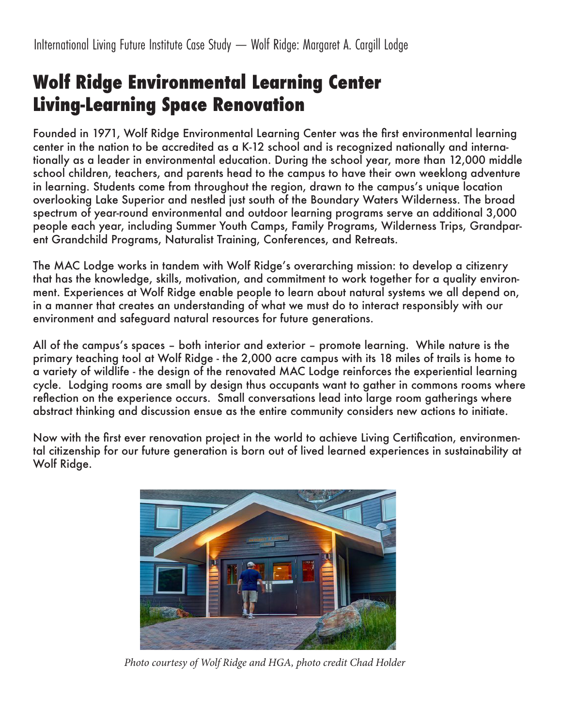# **Wolf Ridge Environmental Learning Center Living-Learning Space Renovation**

Founded in 1971, Wolf Ridge Environmental Learning Center was the first environmental learning center in the nation to be accredited as a K-12 school and is recognized nationally and internationally as a leader in environmental education. During the school year, more than 12,000 middle school children, teachers, and parents head to the campus to have their own weeklong adventure in learning. Students come from throughout the region, drawn to the campus's unique location overlooking Lake Superior and nestled just south of the Boundary Waters Wilderness. The broad spectrum of year-round environmental and outdoor learning programs serve an additional 3,000 people each year, including Summer Youth Camps, Family Programs, Wilderness Trips, Grandparent Grandchild Programs, Naturalist Training, Conferences, and Retreats.

The MAC Lodge works in tandem with Wolf Ridge's overarching mission: to develop a citizenry that has the knowledge, skills, motivation, and commitment to work together for a quality environment. Experiences at Wolf Ridge enable people to learn about natural systems we all depend on, in a manner that creates an understanding of what we must do to interact responsibly with our environment and safeguard natural resources for future generations.

All of the campus's spaces – both interior and exterior – promote learning. While nature is the primary teaching tool at Wolf Ridge - the 2,000 acre campus with its 18 miles of trails is home to a variety of wildlife - the design of the renovated MAC Lodge reinforces the experiential learning cycle. Lodging rooms are small by design thus occupants want to gather in commons rooms where reflection on the experience occurs. Small conversations lead into large room gatherings where abstract thinking and discussion ensue as the entire community considers new actions to initiate.

Now with the first ever renovation project in the world to achieve Living Certification, environmental citizenship for our future generation is born out of lived learned experiences in sustainability at Wolf Ridge.



*Photo courtesy of Wolf Ridge and HGA, photo credit Chad Holder*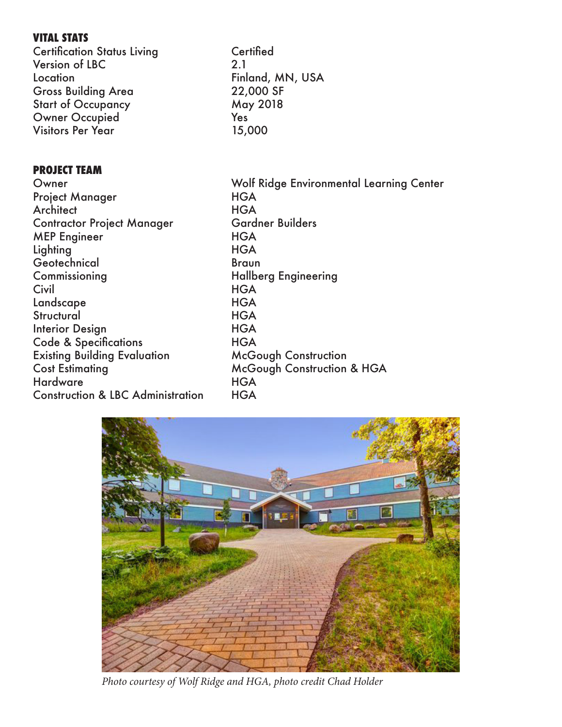### **VITAL STATS**

Certification Status Living Certified Version of LBC 2.1 Location Finland, MN, USA Gross Building Area 22,000 SF Start of Occupancy May 2018 Owner Occupied Yes Visitors Per Year 15,000

### **PROJECT TEAM**

Owner Wolf Ridge Environmental Learning Center Project Manager HGA Architect HGA Contractor Project Manager MEP Engineer HGA Lighting HGA Geotechnical Braun Commissioning Hallberg Engineering Civil **HGA** Landscape HGA Structural HGA Interior Design HGA Code & Specifications THGA Existing Building Evaluation McGough Construction Cost Estimating McGough Construction & HGA Hardware HGA Construction & LBC Administration HGA



*Photo courtesy of Wolf Ridge and HGA, photo credit Chad Holder*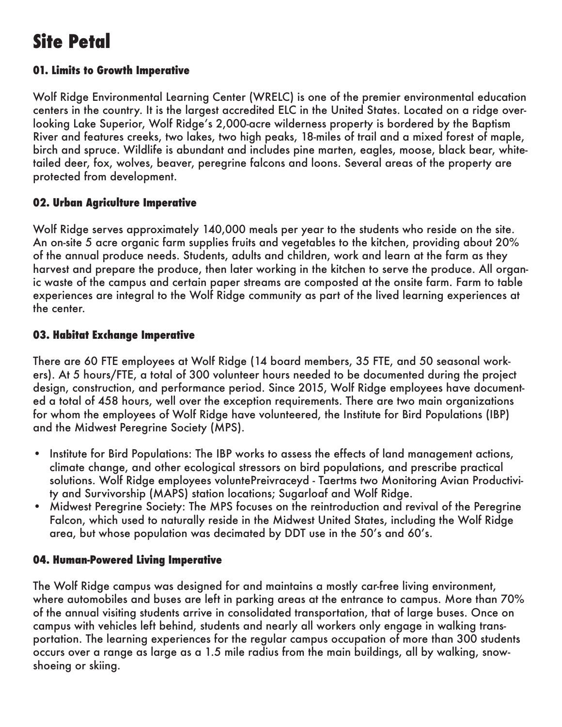# **Site Petal**

### **01. Limits to Growth Imperative**

Wolf Ridge Environmental Learning Center (WRELC) is one of the premier environmental education centers in the country. It is the largest accredited ELC in the United States. Located on a ridge overlooking Lake Superior, Wolf Ridge's 2,000-acre wilderness property is bordered by the Baptism River and features creeks, two lakes, two high peaks, 18-miles of trail and a mixed forest of maple, birch and spruce. Wildlife is abundant and includes pine marten, eagles, moose, black bear, whitetailed deer, fox, wolves, beaver, peregrine falcons and loons. Several areas of the property are protected from development.

### **02. Urban Agriculture Imperative**

Wolf Ridge serves approximately 140,000 meals per year to the students who reside on the site. An on-site 5 acre organic farm supplies fruits and vegetables to the kitchen, providing about 20% of the annual produce needs. Students, adults and children, work and learn at the farm as they harvest and prepare the produce, then later working in the kitchen to serve the produce. All organic waste of the campus and certain paper streams are composted at the onsite farm. Farm to table experiences are integral to the Wolf Ridge community as part of the lived learning experiences at the center.

### **03. Habitat Exchange Imperative**

There are 60 FTE employees at Wolf Ridge (14 board members, 35 FTE, and 50 seasonal workers). At 5 hours/FTE, a total of 300 volunteer hours needed to be documented during the project design, construction, and performance period. Since 2015, Wolf Ridge employees have documented a total of 458 hours, well over the exception requirements. There are two main organizations for whom the employees of Wolf Ridge have volunteered, the Institute for Bird Populations (IBP) and the Midwest Peregrine Society (MPS).

- Institute for Bird Populations: The IBP works to assess the effects of land management actions, climate change, and other ecological stressors on bird populations, and prescribe practical solutions. Wolf Ridge employees voluntePreivraceyd - Taertms two Monitoring Avian Productivity and Survivorship (MAPS) station locations; Sugarloaf and Wolf Ridge.
- Midwest Peregrine Society: The MPS focuses on the reintroduction and revival of the Peregrine Falcon, which used to naturally reside in the Midwest United States, including the Wolf Ridge area, but whose population was decimated by DDT use in the 50's and 60's.

### **04. Human-Powered Living Imperative**

The Wolf Ridge campus was designed for and maintains a mostly car-free living environment, where automobiles and buses are left in parking areas at the entrance to campus. More than 70% of the annual visiting students arrive in consolidated transportation, that of large buses. Once on campus with vehicles left behind, students and nearly all workers only engage in walking transportation. The learning experiences for the regular campus occupation of more than 300 students occurs over a range as large as a 1.5 mile radius from the main buildings, all by walking, snowshoeing or skiing.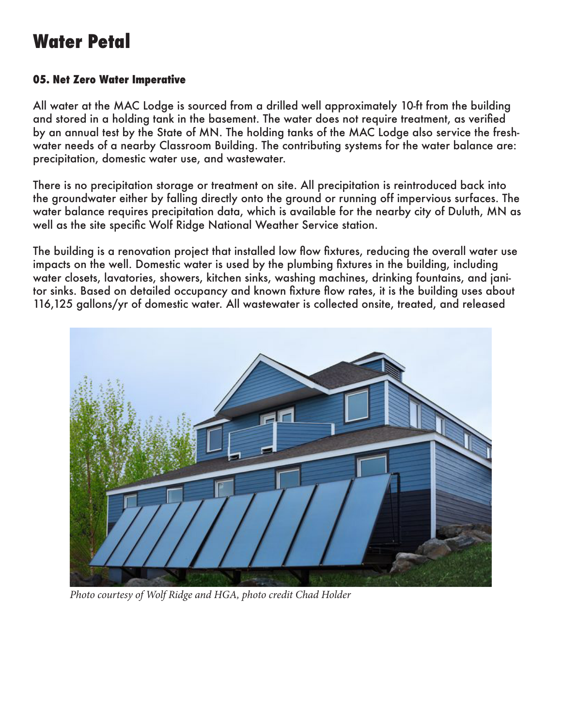### **Water Petal**

### **05. Net Zero Water Imperative**

All water at the MAC Lodge is sourced from a drilled well approximately 10-ft from the building and stored in a holding tank in the basement. The water does not require treatment, as verified by an annual test by the State of MN. The holding tanks of the MAC Lodge also service the freshwater needs of a nearby Classroom Building. The contributing systems for the water balance are: precipitation, domestic water use, and wastewater.

There is no precipitation storage or treatment on site. All precipitation is reintroduced back into the groundwater either by falling directly onto the ground or running off impervious surfaces. The water balance requires precipitation data, which is available for the nearby city of Duluth, MN as well as the site specific Wolf Ridge National Weather Service station.

The building is a renovation project that installed low flow fixtures, reducing the overall water use impacts on the well. Domestic water is used by the plumbing fixtures in the building, including water closets, lavatories, showers, kitchen sinks, washing machines, drinking fountains, and janitor sinks. Based on detailed occupancy and known fixture flow rates, it is the building uses about 116,125 gallons/yr of domestic water. All wastewater is collected onsite, treated, and released



*Photo courtesy of Wolf Ridge and HGA, photo credit Chad Holder*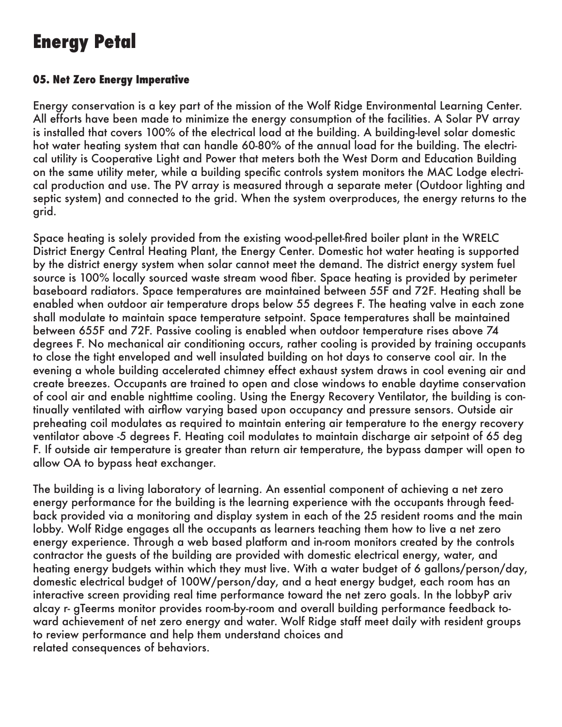## **Energy Petal**

### **05. Net Zero Energy Imperative**

Energy conservation is a key part of the mission of the Wolf Ridge Environmental Learning Center. All efforts have been made to minimize the energy consumption of the facilities. A Solar PV array is installed that covers 100% of the electrical load at the building. A building-level solar domestic hot water heating system that can handle 60-80% of the annual load for the building. The electrical utility is Cooperative Light and Power that meters both the West Dorm and Education Building on the same utility meter, while a building specific controls system monitors the MAC Lodge electrical production and use. The PV array is measured through a separate meter (Outdoor lighting and septic system) and connected to the grid. When the system overproduces, the energy returns to the grid.

Space heating is solely provided from the existing wood-pellet-fired boiler plant in the WRELC District Energy Central Heating Plant, the Energy Center. Domestic hot water heating is supported by the district energy system when solar cannot meet the demand. The district energy system fuel source is 100% locally sourced waste stream wood fiber. Space heating is provided by perimeter baseboard radiators. Space temperatures are maintained between 55F and 72F. Heating shall be enabled when outdoor air temperature drops below 55 degrees F. The heating valve in each zone shall modulate to maintain space temperature setpoint. Space temperatures shall be maintained between 655F and 72F. Passive cooling is enabled when outdoor temperature rises above 74 degrees F. No mechanical air conditioning occurs, rather cooling is provided by training occupants to close the tight enveloped and well insulated building on hot days to conserve cool air. In the evening a whole building accelerated chimney effect exhaust system draws in cool evening air and create breezes. Occupants are trained to open and close windows to enable daytime conservation of cool air and enable nighttime cooling. Using the Energy Recovery Ventilator, the building is continually ventilated with airflow varying based upon occupancy and pressure sensors. Outside air preheating coil modulates as required to maintain entering air temperature to the energy recovery ventilator above -5 degrees F. Heating coil modulates to maintain discharge air setpoint of 65 deg F. If outside air temperature is greater than return air temperature, the bypass damper will open to allow OA to bypass heat exchanger.

The building is a living laboratory of learning. An essential component of achieving a net zero energy performance for the building is the learning experience with the occupants through feedback provided via a monitoring and display system in each of the 25 resident rooms and the main lobby. Wolf Ridge engages all the occupants as learners teaching them how to live a net zero energy experience. Through a web based platform and in-room monitors created by the controls contractor the guests of the building are provided with domestic electrical energy, water, and heating energy budgets within which they must live. With a water budget of 6 gallons/person/day, domestic electrical budget of 100W/person/day, and a heat energy budget, each room has an interactive screen providing real time performance toward the net zero goals. In the lobbyP ariv alcay r- gTeerms monitor provides room-by-room and overall building performance feedback toward achievement of net zero energy and water. Wolf Ridge staff meet daily with resident groups to review performance and help them understand choices and related consequences of behaviors.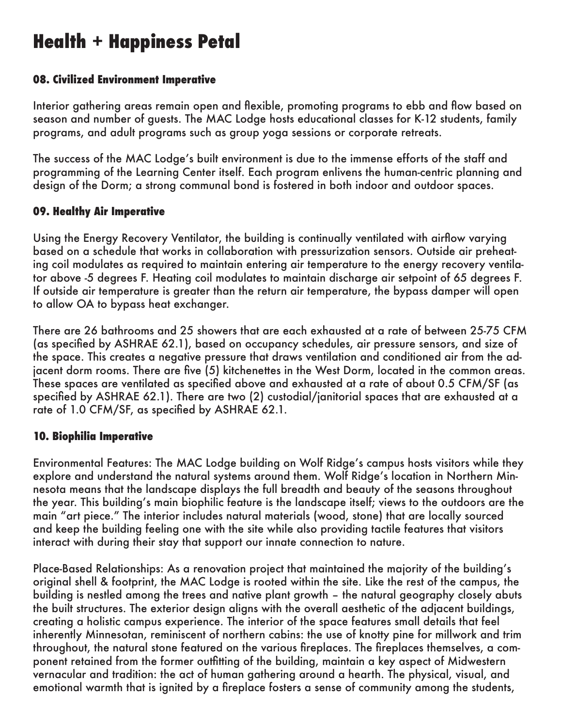## **Health + Happiness Petal**

### **08. Civilized Environment Imperative**

Interior gathering areas remain open and flexible, promoting programs to ebb and flow based on season and number of guests. The MAC Lodge hosts educational classes for K-12 students, family programs, and adult programs such as group yoga sessions or corporate retreats.

The success of the MAC Lodge's built environment is due to the immense efforts of the staff and programming of the Learning Center itself. Each program enlivens the human-centric planning and design of the Dorm; a strong communal bond is fostered in both indoor and outdoor spaces.

### **09. Healthy Air Imperative**

Using the Energy Recovery Ventilator, the building is continually ventilated with airflow varying based on a schedule that works in collaboration with pressurization sensors. Outside air preheating coil modulates as required to maintain entering air temperature to the energy recovery ventilator above -5 degrees F. Heating coil modulates to maintain discharge air setpoint of 65 degrees F. If outside air temperature is greater than the return air temperature, the bypass damper will open to allow OA to bypass heat exchanger.

There are 26 bathrooms and 25 showers that are each exhausted at a rate of between 25-75 CFM (as specified by ASHRAE 62.1), based on occupancy schedules, air pressure sensors, and size of the space. This creates a negative pressure that draws ventilation and conditioned air from the adjacent dorm rooms. There are five (5) kitchenettes in the West Dorm, located in the common areas. These spaces are ventilated as specified above and exhausted at a rate of about 0.5 CFM/SF (as specified by ASHRAE 62.1). There are two (2) custodial/janitorial spaces that are exhausted at a rate of 1.0 CFM/SF, as specified by ASHRAE 62.1.

#### **10. Biophilia Imperative**

Environmental Features: The MAC Lodge building on Wolf Ridge's campus hosts visitors while they explore and understand the natural systems around them. Wolf Ridge's location in Northern Minnesota means that the landscape displays the full breadth and beauty of the seasons throughout the year. This building's main biophilic feature is the landscape itself; views to the outdoors are the main "art piece." The interior includes natural materials (wood, stone) that are locally sourced and keep the building feeling one with the site while also providing tactile features that visitors interact with during their stay that support our innate connection to nature.

Place-Based Relationships: As a renovation project that maintained the majority of the building's original shell & footprint, the MAC Lodge is rooted within the site. Like the rest of the campus, the building is nestled among the trees and native plant growth – the natural geography closely abuts the built structures. The exterior design aligns with the overall aesthetic of the adjacent buildings, creating a holistic campus experience. The interior of the space features small details that feel inherently Minnesotan, reminiscent of northern cabins: the use of knotty pine for millwork and trim throughout, the natural stone featured on the various fireplaces. The fireplaces themselves, a component retained from the former outfitting of the building, maintain a key aspect of Midwestern vernacular and tradition: the act of human gathering around a hearth. The physical, visual, and emotional warmth that is ignited by a fireplace fosters a sense of community among the students,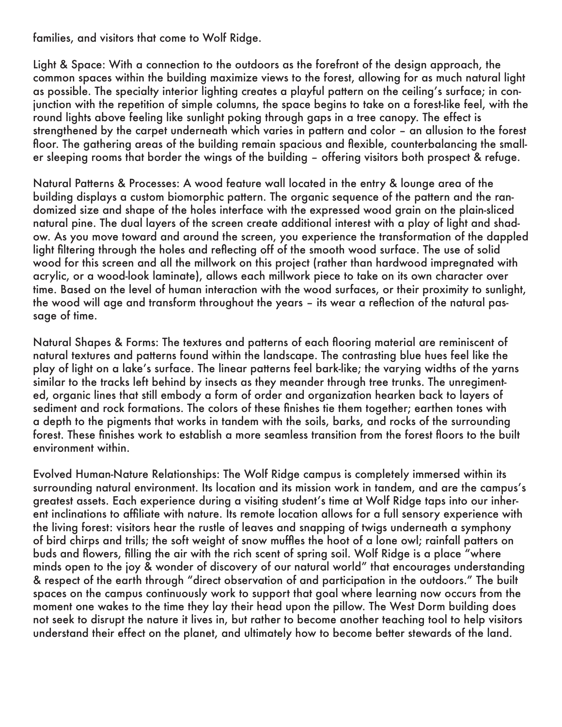families, and visitors that come to Wolf Ridge.

Light & Space: With a connection to the outdoors as the forefront of the design approach, the common spaces within the building maximize views to the forest, allowing for as much natural light as possible. The specialty interior lighting creates a playful pattern on the ceiling's surface; in conjunction with the repetition of simple columns, the space begins to take on a forest-like feel, with the round lights above feeling like sunlight poking through gaps in a tree canopy. The effect is strengthened by the carpet underneath which varies in pattern and color – an allusion to the forest floor. The gathering areas of the building remain spacious and flexible, counterbalancing the smaller sleeping rooms that border the wings of the building – offering visitors both prospect & refuge.

Natural Patterns & Processes: A wood feature wall located in the entry & lounge area of the building displays a custom biomorphic pattern. The organic sequence of the pattern and the randomized size and shape of the holes interface with the expressed wood grain on the plain-sliced natural pine. The dual layers of the screen create additional interest with a play of light and shadow. As you move toward and around the screen, you experience the transformation of the dappled light filtering through the holes and reflecting off of the smooth wood surface. The use of solid wood for this screen and all the millwork on this project (rather than hardwood impregnated with acrylic, or a wood-look laminate), allows each millwork piece to take on its own character over time. Based on the level of human interaction with the wood surfaces, or their proximity to sunlight, the wood will age and transform throughout the years – its wear a reflection of the natural passage of time.

Natural Shapes & Forms: The textures and patterns of each flooring material are reminiscent of natural textures and patterns found within the landscape. The contrasting blue hues feel like the play of light on a lake's surface. The linear patterns feel bark-like; the varying widths of the yarns similar to the tracks left behind by insects as they meander through tree trunks. The unregimented, organic lines that still embody a form of order and organization hearken back to layers of sediment and rock formations. The colors of these finishes tie them together; earthen tones with a depth to the pigments that works in tandem with the soils, barks, and rocks of the surrounding forest. These finishes work to establish a more seamless transition from the forest floors to the built environment within.

Evolved Human-Nature Relationships: The Wolf Ridge campus is completely immersed within its surrounding natural environment. Its location and its mission work in tandem, and are the campus's greatest assets. Each experience during a visiting student's time at Wolf Ridge taps into our inherent inclinations to affiliate with nature. Its remote location allows for a full sensory experience with the living forest: visitors hear the rustle of leaves and snapping of twigs underneath a symphony of bird chirps and trills; the soft weight of snow muffles the hoot of a lone owl; rainfall patters on buds and flowers, filling the air with the rich scent of spring soil. Wolf Ridge is a place "where minds open to the joy & wonder of discovery of our natural world" that encourages understanding & respect of the earth through "direct observation of and participation in the outdoors." The built spaces on the campus continuously work to support that goal where learning now occurs from the moment one wakes to the time they lay their head upon the pillow. The West Dorm building does not seek to disrupt the nature it lives in, but rather to become another teaching tool to help visitors understand their effect on the planet, and ultimately how to become better stewards of the land.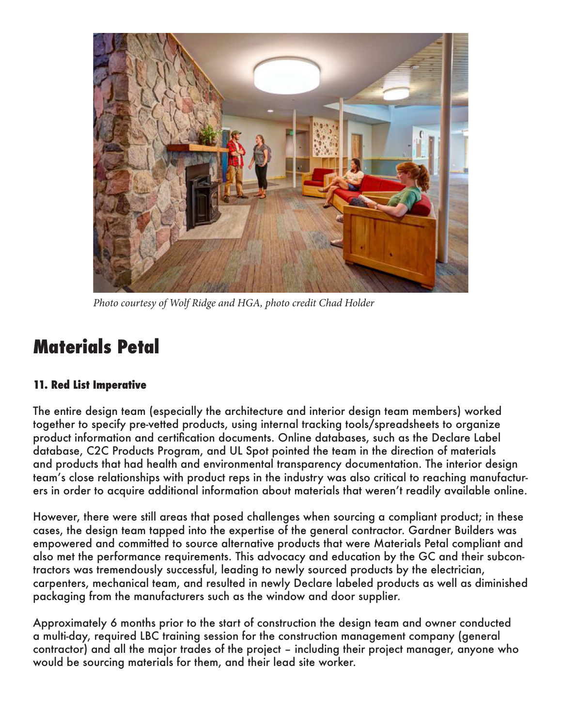

*Photo courtesy of Wolf Ridge and HGA, photo credit Chad Holder*

## **Materials Petal**

### **11. Red List Imperative**

The entire design team (especially the architecture and interior design team members) worked together to specify pre-vetted products, using internal tracking tools/spreadsheets to organize product information and certification documents. Online databases, such as the Declare Label database, C2C Products Program, and UL Spot pointed the team in the direction of materials and products that had health and environmental transparency documentation. The interior design team's close relationships with product reps in the industry was also critical to reaching manufacturers in order to acquire additional information about materials that weren't readily available online.

However, there were still areas that posed challenges when sourcing a compliant product; in these cases, the design team tapped into the expertise of the general contractor. Gardner Builders was empowered and committed to source alternative products that were Materials Petal compliant and also met the performance requirements. This advocacy and education by the GC and their subcontractors was tremendously successful, leading to newly sourced products by the electrician, carpenters, mechanical team, and resulted in newly Declare labeled products as well as diminished packaging from the manufacturers such as the window and door supplier.

Approximately 6 months prior to the start of construction the design team and owner conducted a multi-day, required LBC training session for the construction management company (general contractor) and all the major trades of the project – including their project manager, anyone who would be sourcing materials for them, and their lead site worker.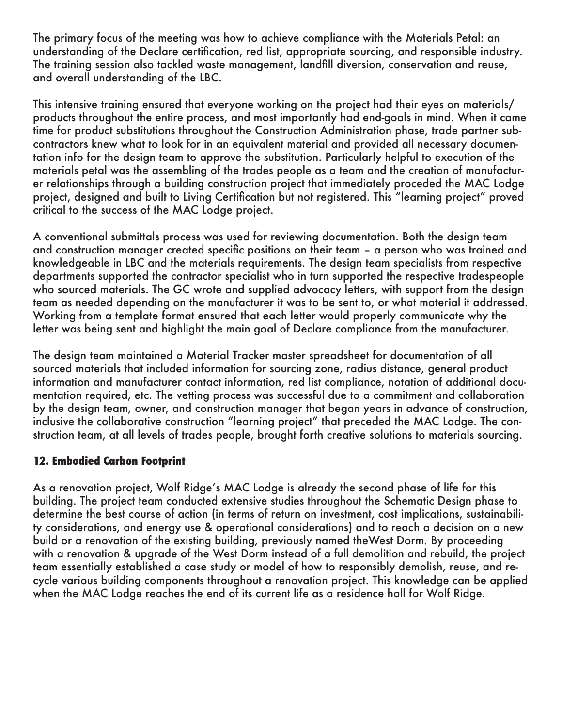The primary focus of the meeting was how to achieve compliance with the Materials Petal: an understanding of the Declare certification, red list, appropriate sourcing, and responsible industry. The training session also tackled waste management, landfill diversion, conservation and reuse, and overall understanding of the LBC.

This intensive training ensured that everyone working on the project had their eyes on materials/ products throughout the entire process, and most importantly had end-goals in mind. When it came time for product substitutions throughout the Construction Administration phase, trade partner subcontractors knew what to look for in an equivalent material and provided all necessary documentation info for the design team to approve the substitution. Particularly helpful to execution of the materials petal was the assembling of the trades people as a team and the creation of manufacturer relationships through a building construction project that immediately proceded the MAC Lodge project, designed and built to Living Certification but not registered. This "learning project" proved critical to the success of the MAC Lodge project.

A conventional submittals process was used for reviewing documentation. Both the design team and construction manager created specific positions on their team – a person who was trained and knowledgeable in LBC and the materials requirements. The design team specialists from respective departments supported the contractor specialist who in turn supported the respective tradespeople who sourced materials. The GC wrote and supplied advocacy letters, with support from the design team as needed depending on the manufacturer it was to be sent to, or what material it addressed. Working from a template format ensured that each letter would properly communicate why the letter was being sent and highlight the main goal of Declare compliance from the manufacturer.

The design team maintained a Material Tracker master spreadsheet for documentation of all sourced materials that included information for sourcing zone, radius distance, general product information and manufacturer contact information, red list compliance, notation of additional documentation required, etc. The vetting process was successful due to a commitment and collaboration by the design team, owner, and construction manager that began years in advance of construction, inclusive the collaborative construction "learning project" that preceded the MAC Lodge. The construction team, at all levels of trades people, brought forth creative solutions to materials sourcing.

### **12. Embodied Carbon Footprint**

As a renovation project, Wolf Ridge's MAC Lodge is already the second phase of life for this building. The project team conducted extensive studies throughout the Schematic Design phase to determine the best course of action (in terms of return on investment, cost implications, sustainability considerations, and energy use & operational considerations) and to reach a decision on a new build or a renovation of the existing building, previously named theWest Dorm. By proceeding with a renovation & upgrade of the West Dorm instead of a full demolition and rebuild, the project team essentially established a case study or model of how to responsibly demolish, reuse, and recycle various building components throughout a renovation project. This knowledge can be applied when the MAC Lodge reaches the end of its current life as a residence hall for Wolf Ridge.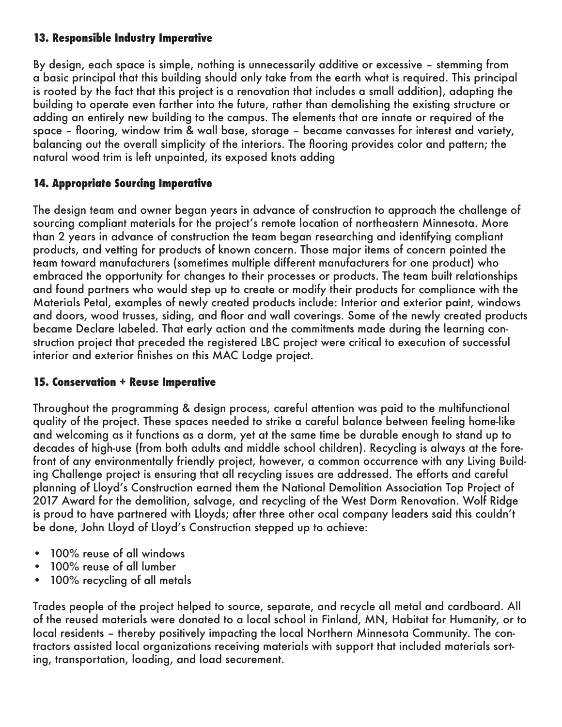### **13. Responsible Industry Imperative**

By design, each space is simple, nothing is unnecessarily additive or excessive – stemming from a basic principal that this building should only take from the earth what is required. This principal is rooted by the fact that this project is a renovation that includes a small addition), adapting the building to operate even farther into the future, rather than demolishing the existing structure or adding an entirely new building to the campus. The elements that are innate or required of the space – flooring, window trim & wall base, storage – became canvasses for interest and variety, balancing out the overall simplicity of the interiors. The flooring provides color and pattern; the natural wood trim is left unpainted, its exposed knots adding

### **14. Appropriate Sourcing Imperative**

The design team and owner began years in advance of construction to approach the challenge of sourcing compliant materials for the project's remote location of northeastern Minnesota. More than 2 years in advance of construction the team began researching and identifying compliant products, and vetting for products of known concern. Those major items of concern pointed the team toward manufacturers (sometimes multiple different manufacturers for one product) who embraced the opportunity for changes to their processes or products. The team built relationships and found partners who would step up to create or modify their products for compliance with the Materials Petal, examples of newly created products include: Interior and exterior paint, windows and doors, wood trusses, siding, and floor and wall coverings. Some of the newly created products became Declare labeled. That early action and the commitments made during the learning construction project that preceded the registered LBC project were critical to execution of successful interior and exterior finishes on this MAC Lodge project.

### **15. Conservation + Reuse Imperative**

Throughout the programming & design process, careful attention was paid to the multifunctional quality of the project. These spaces needed to strike a careful balance between feeling home-like and welcoming as it functions as a dorm, yet at the same time be durable enough to stand up to decades of high-use (from both adults and middle school children). Recycling is always at the forefront of any environmentally friendly project, however, a common occurrence with any Living Building Challenge project is ensuring that all recycling issues are addressed. The efforts and careful planning of Lloyd's Construction earned them the National Demolition Association Top Project of 2017 Award for the demolition, salvage, and recycling of the West Dorm Renovation. Wolf Ridge is proud to have partnered with Lloyds; after three other ocal company leaders said this couldn't be done, John Lloyd of Lloyd's Construction stepped up to achieve:

- 100% reuse of all windows
- 100% reuse of all lumber
- 100% recycling of all metals

Trades people of the project helped to source, separate, and recycle all metal and cardboard. All of the reused materials were donated to a local school in Finland, MN, Habitat for Humanity, or to local residents – thereby positively impacting the local Northern Minnesota Community. The contractors assisted local organizations receiving materials with support that included materials sorting, transportation, loading, and load securement.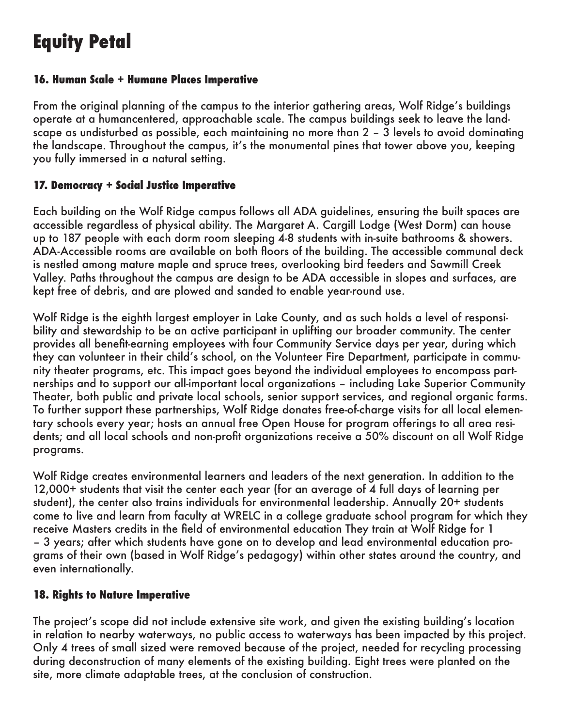# **Equity Petal**

### **16. Human Scale + Humane Places Imperative**

From the original planning of the campus to the interior gathering areas, Wolf Ridge's buildings operate at a humancentered, approachable scale. The campus buildings seek to leave the landscape as undisturbed as possible, each maintaining no more than 2 – 3 levels to avoid dominating the landscape. Throughout the campus, it's the monumental pines that tower above you, keeping you fully immersed in a natural setting.

### **17. Democracy + Social Justice Imperative**

Each building on the Wolf Ridge campus follows all ADA guidelines, ensuring the built spaces are accessible regardless of physical ability. The Margaret A. Cargill Lodge (West Dorm) can house up to 187 people with each dorm room sleeping 4-8 students with in-suite bathrooms & showers. ADA-Accessible rooms are available on both floors of the building. The accessible communal deck is nestled among mature maple and spruce trees, overlooking bird feeders and Sawmill Creek Valley. Paths throughout the campus are design to be ADA accessible in slopes and surfaces, are kept free of debris, and are plowed and sanded to enable year-round use.

Wolf Ridge is the eighth largest employer in Lake County, and as such holds a level of responsibility and stewardship to be an active participant in uplifting our broader community. The center provides all benefit-earning employees with four Community Service days per year, during which they can volunteer in their child's school, on the Volunteer Fire Department, participate in community theater programs, etc. This impact goes beyond the individual employees to encompass partnerships and to support our all-important local organizations – including Lake Superior Community Theater, both public and private local schools, senior support services, and regional organic farms. To further support these partnerships, Wolf Ridge donates free-of-charge visits for all local elementary schools every year; hosts an annual free Open House for program offerings to all area residents; and all local schools and non-profit organizations receive a 50% discount on all Wolf Ridge programs.

Wolf Ridge creates environmental learners and leaders of the next generation. In addition to the 12,000+ students that visit the center each year (for an average of 4 full days of learning per student), the center also trains individuals for environmental leadership. Annually 20+ students come to live and learn from faculty at WRELC in a college graduate school program for which they receive Masters credits in the field of environmental education They train at Wolf Ridge for 1 – 3 years; after which students have gone on to develop and lead environmental education programs of their own (based in Wolf Ridge's pedagogy) within other states around the country, and even internationally.

### **18. Rights to Nature Imperative**

The project's scope did not include extensive site work, and given the existing building's location in relation to nearby waterways, no public access to waterways has been impacted by this project. Only 4 trees of small sized were removed because of the project, needed for recycling processing during deconstruction of many elements of the existing building. Eight trees were planted on the site, more climate adaptable trees, at the conclusion of construction.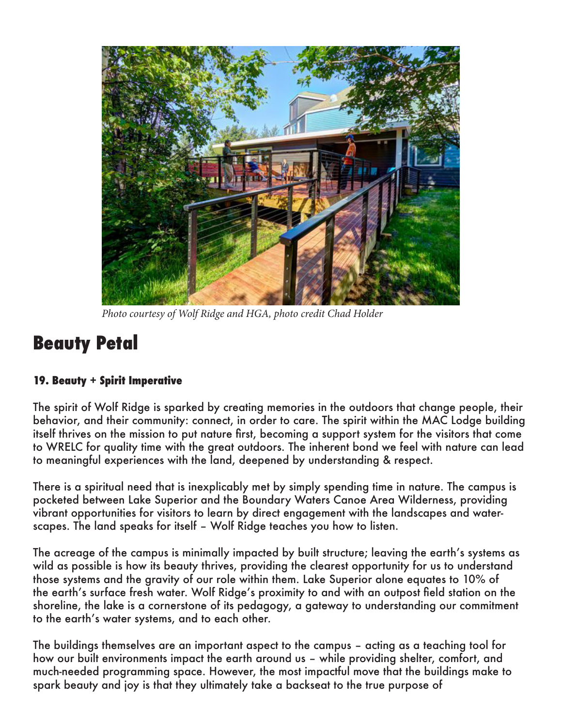

*Photo courtesy of Wolf Ridge and HGA, photo credit Chad Holder*

### **Beauty Petal**

### **19. Beauty + Spirit Imperative**

The spirit of Wolf Ridge is sparked by creating memories in the outdoors that change people, their behavior, and their community: connect, in order to care. The spirit within the MAC Lodge building itself thrives on the mission to put nature first, becoming a support system for the visitors that come to WRELC for quality time with the great outdoors. The inherent bond we feel with nature can lead to meaningful experiences with the land, deepened by understanding & respect.

There is a spiritual need that is inexplicably met by simply spending time in nature. The campus is pocketed between Lake Superior and the Boundary Waters Canoe Area Wilderness, providing vibrant opportunities for visitors to learn by direct engagement with the landscapes and waterscapes. The land speaks for itself – Wolf Ridge teaches you how to listen.

The acreage of the campus is minimally impacted by built structure; leaving the earth's systems as wild as possible is how its beauty thrives, providing the clearest opportunity for us to understand those systems and the gravity of our role within them. Lake Superior alone equates to 10% of the earth's surface fresh water. Wolf Ridge's proximity to and with an outpost field station on the shoreline, the lake is a cornerstone of its pedagogy, a gateway to understanding our commitment to the earth's water systems, and to each other.

The buildings themselves are an important aspect to the campus – acting as a teaching tool for how our built environments impact the earth around us – while providing shelter, comfort, and much-needed programming space. However, the most impactful move that the buildings make to spark beauty and joy is that they ultimately take a backseat to the true purpose of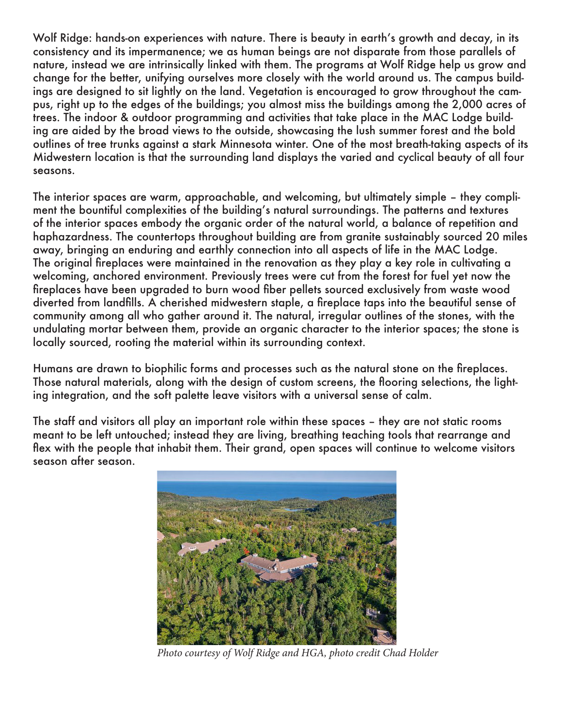Wolf Ridge: hands-on experiences with nature. There is beauty in earth's growth and decay, in its consistency and its impermanence; we as human beings are not disparate from those parallels of nature, instead we are intrinsically linked with them. The programs at Wolf Ridge help us grow and change for the better, unifying ourselves more closely with the world around us. The campus buildings are designed to sit lightly on the land. Vegetation is encouraged to grow throughout the campus, right up to the edges of the buildings; you almost miss the buildings among the 2,000 acres of trees. The indoor & outdoor programming and activities that take place in the MAC Lodge building are aided by the broad views to the outside, showcasing the lush summer forest and the bold outlines of tree trunks against a stark Minnesota winter. One of the most breath-taking aspects of its Midwestern location is that the surrounding land displays the varied and cyclical beauty of all four seasons.

The interior spaces are warm, approachable, and welcoming, but ultimately simple – they compliment the bountiful complexities of the building's natural surroundings. The patterns and textures of the interior spaces embody the organic order of the natural world, a balance of repetition and haphazardness. The countertops throughout building are from granite sustainably sourced 20 miles away, bringing an enduring and earthly connection into all aspects of life in the MAC Lodge. The original fireplaces were maintained in the renovation as they play a key role in cultivating a welcoming, anchored environment. Previously trees were cut from the forest for fuel yet now the fireplaces have been upgraded to burn wood fiber pellets sourced exclusively from waste wood diverted from landfills. A cherished midwestern staple, a fireplace taps into the beautiful sense of community among all who gather around it. The natural, irregular outlines of the stones, with the undulating mortar between them, provide an organic character to the interior spaces; the stone is locally sourced, rooting the material within its surrounding context.

Humans are drawn to biophilic forms and processes such as the natural stone on the fireplaces. Those natural materials, along with the design of custom screens, the flooring selections, the lighting integration, and the soft palette leave visitors with a universal sense of calm.

The staff and visitors all play an important role within these spaces – they are not static rooms meant to be left untouched; instead they are living, breathing teaching tools that rearrange and flex with the people that inhabit them. Their grand, open spaces will continue to welcome visitors season after season.



*Photo courtesy of Wolf Ridge and HGA, photo credit Chad Holder*